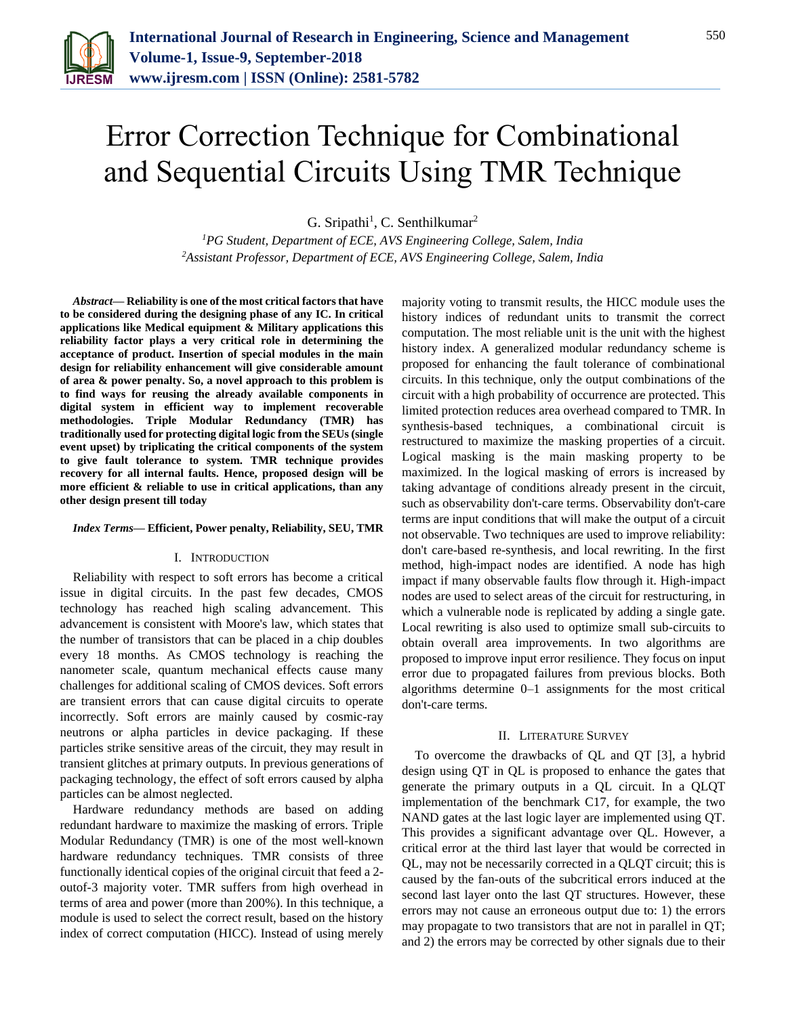

# Error Correction Technique for Combinational and Sequential Circuits Using TMR Technique

G. Sripathi<sup>1</sup>, C. Senthilkumar<sup>2</sup>

*<sup>1</sup>PG Student, Department of ECE, AVS Engineering College, Salem, India 2Assistant Professor, Department of ECE, AVS Engineering College, Salem, India*

*Abstract***— Reliability is one of the most critical factors that have to be considered during the designing phase of any IC. In critical applications like Medical equipment & Military applications this reliability factor plays a very critical role in determining the acceptance of product. Insertion of special modules in the main design for reliability enhancement will give considerable amount of area & power penalty. So, a novel approach to this problem is to find ways for reusing the already available components in digital system in efficient way to implement recoverable methodologies. Triple Modular Redundancy (TMR) has traditionally used for protecting digital logic from the SEUs (single event upset) by triplicating the critical components of the system to give fault tolerance to system. TMR technique provides recovery for all internal faults. Hence, proposed design will be more efficient & reliable to use in critical applications, than any other design present till today**

#### *Index Terms***— Efficient, Power penalty, Reliability, SEU, TMR**

#### I. INTRODUCTION

Reliability with respect to soft errors has become a critical issue in digital circuits. In the past few decades, CMOS technology has reached high scaling advancement. This advancement is consistent with Moore's law, which states that the number of transistors that can be placed in a chip doubles every 18 months. As CMOS technology is reaching the nanometer scale, quantum mechanical effects cause many challenges for additional scaling of CMOS devices. Soft errors are transient errors that can cause digital circuits to operate incorrectly. Soft errors are mainly caused by cosmic-ray neutrons or alpha particles in device packaging. If these particles strike sensitive areas of the circuit, they may result in transient glitches at primary outputs. In previous generations of packaging technology, the effect of soft errors caused by alpha particles can be almost neglected.

Hardware redundancy methods are based on adding redundant hardware to maximize the masking of errors. Triple Modular Redundancy (TMR) is one of the most well-known hardware redundancy techniques. TMR consists of three functionally identical copies of the original circuit that feed a 2 outof-3 majority voter. TMR suffers from high overhead in terms of area and power (more than 200%). In this technique, a module is used to select the correct result, based on the history index of correct computation (HICC). Instead of using merely

majority voting to transmit results, the HICC module uses the history indices of redundant units to transmit the correct computation. The most reliable unit is the unit with the highest history index. A generalized modular redundancy scheme is proposed for enhancing the fault tolerance of combinational circuits. In this technique, only the output combinations of the circuit with a high probability of occurrence are protected. This limited protection reduces area overhead compared to TMR. In synthesis-based techniques, a combinational circuit is restructured to maximize the masking properties of a circuit. Logical masking is the main masking property to be maximized. In the logical masking of errors is increased by taking advantage of conditions already present in the circuit, such as observability don't-care terms. Observability don't-care terms are input conditions that will make the output of a circuit not observable. Two techniques are used to improve reliability: don't care-based re-synthesis, and local rewriting. In the first method, high-impact nodes are identified. A node has high impact if many observable faults flow through it. High-impact nodes are used to select areas of the circuit for restructuring, in which a vulnerable node is replicated by adding a single gate. Local rewriting is also used to optimize small sub-circuits to obtain overall area improvements. In two algorithms are proposed to improve input error resilience. They focus on input error due to propagated failures from previous blocks. Both algorithms determine 0–1 assignments for the most critical don't-care terms.

#### II. LITERATURE SURVEY

To overcome the drawbacks of QL and QT [3], a hybrid design using QT in QL is proposed to enhance the gates that generate the primary outputs in a QL circuit. In a QLQT implementation of the benchmark C17, for example, the two NAND gates at the last logic layer are implemented using QT. This provides a significant advantage over QL. However, a critical error at the third last layer that would be corrected in QL, may not be necessarily corrected in a QLQT circuit; this is caused by the fan-outs of the subcritical errors induced at the second last layer onto the last QT structures. However, these errors may not cause an erroneous output due to: 1) the errors may propagate to two transistors that are not in parallel in QT; and 2) the errors may be corrected by other signals due to their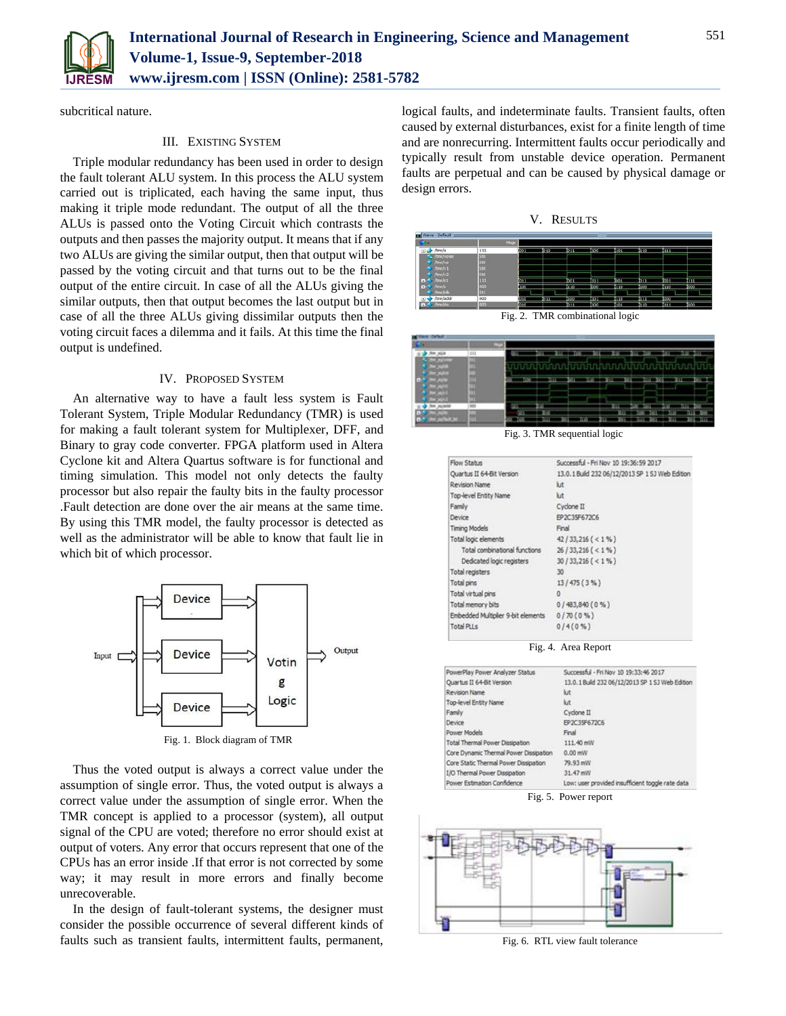

subcritical nature.

## III. EXISTING SYSTEM

Triple modular redundancy has been used in order to design the fault tolerant ALU system. In this process the ALU system carried out is triplicated, each having the same input, thus making it triple mode redundant. The output of all the three ALUs is passed onto the Voting Circuit which contrasts the outputs and then passes the majority output. It means that if any two ALUs are giving the similar output, then that output will be passed by the voting circuit and that turns out to be the final output of the entire circuit. In case of all the ALUs giving the similar outputs, then that output becomes the last output but in case of all the three ALUs giving dissimilar outputs then the voting circuit faces a dilemma and it fails. At this time the final output is undefined.

### IV. PROPOSED SYSTEM

An alternative way to have a fault less system is Fault Tolerant System, Triple Modular Redundancy (TMR) is used for making a fault tolerant system for Multiplexer, DFF, and Binary to gray code converter. FPGA platform used in Altera Cyclone kit and Altera Quartus software is for functional and timing simulation. This model not only detects the faulty processor but also repair the faulty bits in the faulty processor .Fault detection are done over the air means at the same time. By using this TMR model, the faulty processor is detected as well as the administrator will be able to know that fault lie in which bit of which processor.



Thus the voted output is always a correct value under the assumption of single error. Thus, the voted output is always a correct value under the assumption of single error. When the TMR concept is applied to a processor (system), all output signal of the CPU are voted; therefore no error should exist at output of voters. Any error that occurs represent that one of the CPUs has an error inside .If that error is not corrected by some way; it may result in more errors and finally become unrecoverable.

In the design of fault-tolerant systems, the designer must consider the possible occurrence of several different kinds of faults such as transient faults, intermittent faults, permanent,

logical faults, and indeterminate faults. Transient faults, often caused by external disturbances, exist for a finite length of time and are nonrecurring. Intermittent faults occur periodically and typically result from unstable device operation. Permanent faults are perpetual and can be caused by physical damage or design errors.





Fig. 2. TMR combinational logic

| 353                                 | 111 |  |   |    |                   |                        |            |   |
|-------------------------------------|-----|--|---|----|-------------------|------------------------|------------|---|
| <b>STATISTICS</b><br>٠              |     |  |   | un |                   | 日日                     | ЛI<br>עתנה | ш |
| <b>CONTRACT</b>                     |     |  |   | ۰  |                   |                        |            | œ |
|                                     |     |  |   |    |                   |                        |            |   |
| ALMAN                               |     |  |   |    | ш                 |                        |            |   |
| m.<br>350<br><b>COLOR</b><br>٠<br>u |     |  | ш |    | <b>E</b> TI<br>zп | œ<br>ш<br><b>STATE</b> | ш<br>ы     | ш |

Fig. 3. TMR sequential logic

| Flow Status                        | Successful - Fri Nov 10 19:36:59 2017           |  |  |  |  |
|------------------------------------|-------------------------------------------------|--|--|--|--|
| Quartus II 64-Bit Version          | 13.0.1 Build 232 06/12/2013 SP 1 SJ Web Edition |  |  |  |  |
| Revision Name                      | kit.                                            |  |  |  |  |
| Top-level Entity Name              | kit                                             |  |  |  |  |
| Family                             | Cyclone II                                      |  |  |  |  |
| Device                             | EP2C35F672C6                                    |  |  |  |  |
| <b>Timing Models</b>               | Final                                           |  |  |  |  |
| Total logic elements               | $42/33,216 (< 1\% )$                            |  |  |  |  |
| Total combinational functions      | $26/33,216 (< 1\% )$                            |  |  |  |  |
| Dedicated logic registers          | $30/33,216 (< 1\% )$                            |  |  |  |  |
| Total registers                    | 30                                              |  |  |  |  |
| Total pins                         | 13/475(3%)                                      |  |  |  |  |
| Total virtual pins                 | $\theta$                                        |  |  |  |  |
| Total memory bits                  | 0/483,840(0%                                    |  |  |  |  |
| Embedded Multiplier 9-bit elements | 0/70(0%                                         |  |  |  |  |
| Total PLLs                         | 0/4(0%                                          |  |  |  |  |
|                                    | Fig. 4. Area Report                             |  |  |  |  |
| PowerPlay Power Analyzer Status    | Successful - Fri Nov 10 19:33:46 2017           |  |  |  |  |
| Quartus II 64-Bit Version          | 13.0.1 Build 232 06/12/2013 SP 1 SJ Web Edition |  |  |  |  |

| Quartus II 64-Bit Version              | 13.0.1 Build 232 06/12/2013 SP 1 SJ Web Edition  |
|----------------------------------------|--------------------------------------------------|
| Revision Name                          | kit                                              |
| Top-level Entity Name                  | kit                                              |
| Family                                 | Cyclone II                                       |
| Device                                 | EP2C35F672C6                                     |
| Power Models                           | Final                                            |
| <b>Total Thermal Power Dissipation</b> | 111.40 mW                                        |
| Core Dynamic Thermal Power Dissipation | 0.00 mW                                          |
| Core Static Thermal Power Dissipation  | 79.93 mW                                         |
| <b>I/O Thermal Power Dissipation</b>   | 31.47 mW                                         |
| Power Estimation Confidence            | Low: user provided insufficient toggle rate data |

Fig. 5. Power report



Fig. 6. RTL view fault tolerance